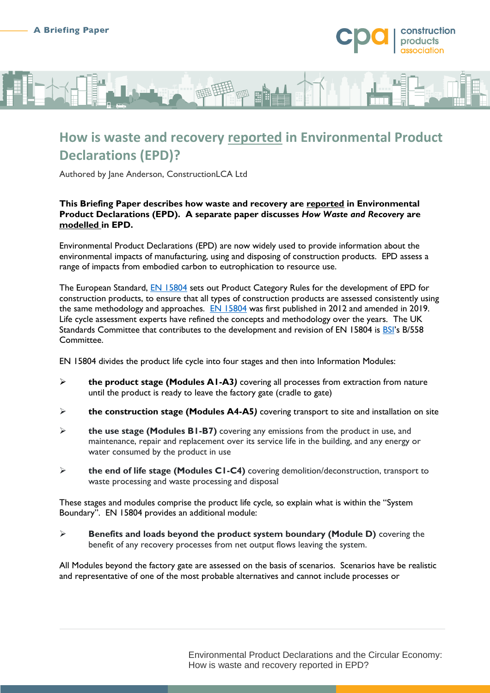

# **How is waste and recovery reported in Environmental Product Declarations (EPD)?**

Authored by Jane Anderson, ConstructionLCA Ltd

#### **This Briefing Paper describes how waste and recovery are reported in Environmental Product Declarations (EPD). A separate paper discusses** *How Waste and Recovery* **are modelled in EPD.**

Environmental Product Declarations (EPD) are now widely used to provide information about the environmental impacts of manufacturing, using and disposing of construction products. EPD assess a range of impacts from embodied carbon to eutrophication to resource use.

The European Standard, **EN 15804** sets out Product Category Rules for the development of EPD for construction products, to ensure that all types of construction products are assessed consistently using the same methodology and approaches. [EN 15804](https://shop.bsigroup.com/products/sustainability-of-construction-works-environmental-product-declarations-core-rules-for-the-product-category-of-construction-products-2/standard) was first published in 2012 and amended in 2019. Life cycle assessment experts have refined the concepts and methodology over the years. The UK Standards Committee that contributes to the development and revision of EN 15804 is [BSI](https://www.bsigroup.com/en-GB/standards/)'s B/558 Committee.

EN 15804 divides the product life cycle into four stages and then into Information Modules:

- **the product stage (Modules A1-A3***)* covering all processes from extraction from nature until the product is ready to leave the factory gate (cradle to gate)
- **the construction stage (Modules A4-A5***)* covering transport to site and installation on site
- **the use stage (Modules B1-B7)** covering any emissions from the product in use, and maintenance, repair and replacement over its service life in the building, and any energy or water consumed by the product in use
- **the end of life stage (Modules C1-C4)** covering demolition/deconstruction, transport to waste processing and waste processing and disposal

These stages and modules comprise the product life cycle*,* so explain what is within the "System Boundary". EN 15804 provides an additional module:

 **Benefits and loads beyond the product system boundary (Module D)** covering the benefit of any recovery processes from net output flows leaving the system.

All Modules beyond the factory gate are assessed on the basis of scenarios. Scenarios have be realistic and representative of one of the most probable alternatives and cannot include processes or

> Environmental Product Declarations and the Circular Economy: How is waste and recovery reported in EPD?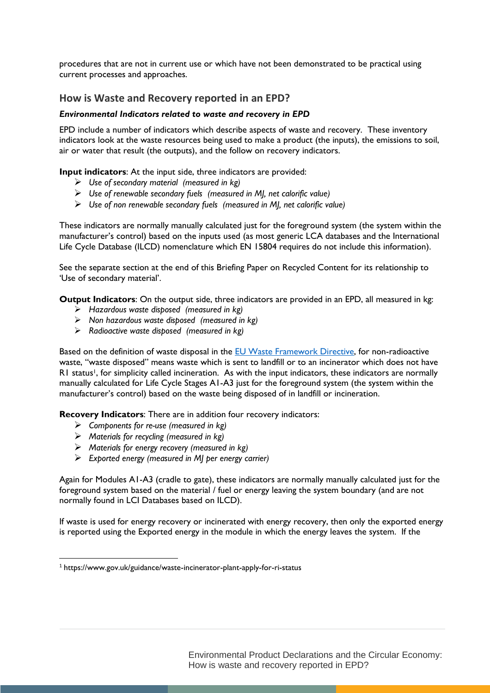procedures that are not in current use or which have not been demonstrated to be practical using current processes and approaches.

### **How is Waste and Recovery reported in an EPD?**

#### *Environmental Indicators related to waste and recovery in EPD*

EPD include a number of indicators which describe aspects of waste and recovery. These inventory indicators look at the waste resources being used to make a product (the inputs), the emissions to soil, air or water that result (the outputs), and the follow on recovery indicators.

**Input indicators**: At the input side, three indicators are provided:

- *Use of secondary material (measured in kg)*
- *Use of renewable secondary fuels (measured in MJ, net calorific value)*
- *Use of non renewable secondary fuels (measured in MJ, net calorific value)*

These indicators are normally manually calculated just for the foreground system (the system within the manufacturer's control) based on the inputs used (as most generic LCA databases and the International Life Cycle Database (ILCD) nomenclature which EN 15804 requires do not include this information).

See the separate section at the end of this Briefing Paper on Recycled Content for its relationship to 'Use of secondary material'.

**Output Indicators**: On the output side, three indicators are provided in an EPD, all measured in kg:

- *Hazardous waste disposed (measured in kg)*
- *Non hazardous waste disposed (measured in kg)*
- *Radioactive waste disposed (measured in kg)*

Based on the definition of waste disposal in the **EU Waste Framework Directive**, for non-radioactive waste, "waste disposed" means waste which is sent to landfill or to an incinerator which does not have R1 status<sup>1</sup>, for simplicity called incineration. As with the input indicators, these indicators are normally manually calculated for Life Cycle Stages A1-A3 just for the foreground system (the system within the manufacturer's control) based on the waste being disposed of in landfill or incineration.

**Recovery Indicators**: There are in addition four recovery indicators:

- *Components for re-use (measured in kg)*
- *Materials for recycling (measured in kg)*

 $\overline{\phantom{a}}$ 

- *Materials for energy recovery (measured in kg)*
- *Exported energy (measured in MJ per energy carrier)*

Again for Modules A1-A3 (cradle to gate), these indicators are normally manually calculated just for the foreground system based on the material / fuel or energy leaving the system boundary (and are not normally found in LCI Databases based on ILCD).

If waste is used for energy recovery or incinerated with energy recovery, then only the exported energy is reported using the Exported energy in the module in which the energy leaves the system. If the

Environmental Product Declarations and the Circular Economy: How is waste and recovery reported in EPD?

<sup>1</sup> https://www.gov.uk/guidance/waste-incinerator-plant-apply-for-ri-status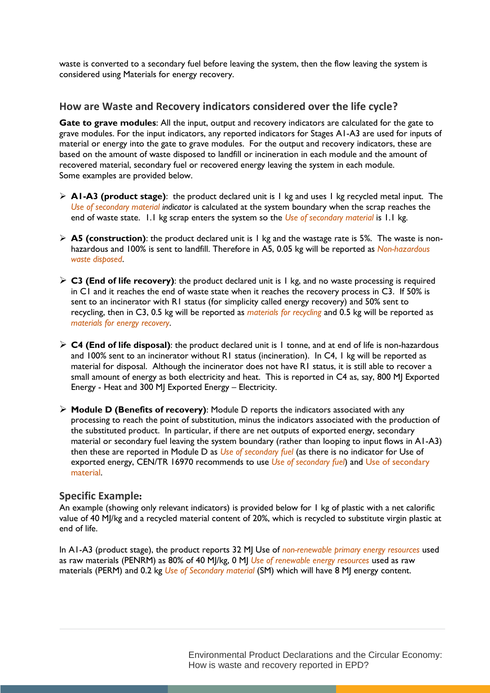waste is converted to a secondary fuel before leaving the system, then the flow leaving the system is considered using Materials for energy recovery.

#### **How are Waste and Recovery indicators considered over the life cycle?**

Gate to grave modules: All the input, output and recovery indicators are calculated for the gate to grave modules. For the input indicators, any reported indicators for Stages A1-A3 are used for inputs of material or energy into the gate to grave modules. For the output and recovery indicators, these are based on the amount of waste disposed to landfill or incineration in each module and the amount of recovered material, secondary fuel or recovered energy leaving the system in each module. Some examples are provided below.

- $\triangleright$  **A1-A3 (product stage)**: the product declared unit is 1 kg and uses 1 kg recycled metal input. The *Use of secondary material indicator* is calculated at the system boundary when the scrap reaches the end of waste state. 1.1 kg scrap enters the system so the *Use of secondary material* is 1.1 kg.
- **A5 (construction)**: the product declared unit is 1 kg and the wastage rate is 5%. The waste is nonhazardous and 100% is sent to landfill. Therefore in A5, 0.05 kg will be reported as *Non-hazardous waste disposed*.
- $\triangleright$  **C3 (End of life recovery)**: the product declared unit is 1 kg, and no waste processing is required in C1 and it reaches the end of waste state when it reaches the recovery process in C3. If 50% is sent to an incinerator with R1 status (for simplicity called energy recovery) and 50% sent to recycling, then in C3, 0.5 kg will be reported as *materials for recycling* and 0.5 kg will be reported as *materials for energy recovery*.
- $\triangleright$  **C4 (End of life disposal)**: the product declared unit is 1 tonne, and at end of life is non-hazardous and 100% sent to an incinerator without R1 status (incineration). In C4, 1 kg will be reported as material for disposal. Although the incinerator does not have R1 status, it is still able to recover a small amount of energy as both electricity and heat. This is reported in C4 as, say, 800 MJ Exported Energy - Heat and 300 MJ Exported Energy – Electricity.
- **Module D (Benefits of recovery)**: Module D reports the indicators associated with any processing to reach the point of substitution, minus the indicators associated with the production of the substituted product. In particular, if there are net outputs of exported energy, secondary material or secondary fuel leaving the system boundary (rather than looping to input flows in A1-A3) then these are reported in Module D as *Use of secondary fuel* (as there is no indicator for Use of exported energy, CEN/TR 16970 recommends to use *Use of secondary fuel*) and Use of secondary material.

#### **Specific Example:**

An example (showing only relevant indicators) is provided below for 1 kg of plastic with a net calorific value of 40 MJ/kg and a recycled material content of 20%, which is recycled to substitute virgin plastic at end of life.

In A1-A3 (product stage), the product reports 32 MJ Use of *non-renewable primary energy resources* used as raw materials (PENRM) as 80% of 40 MJ/kg, 0 MJ *Use of renewable energy resources* used as raw materials (PERM) and 0.2 kg *Use of Secondary material* (SM) which will have 8 MJ energy content.